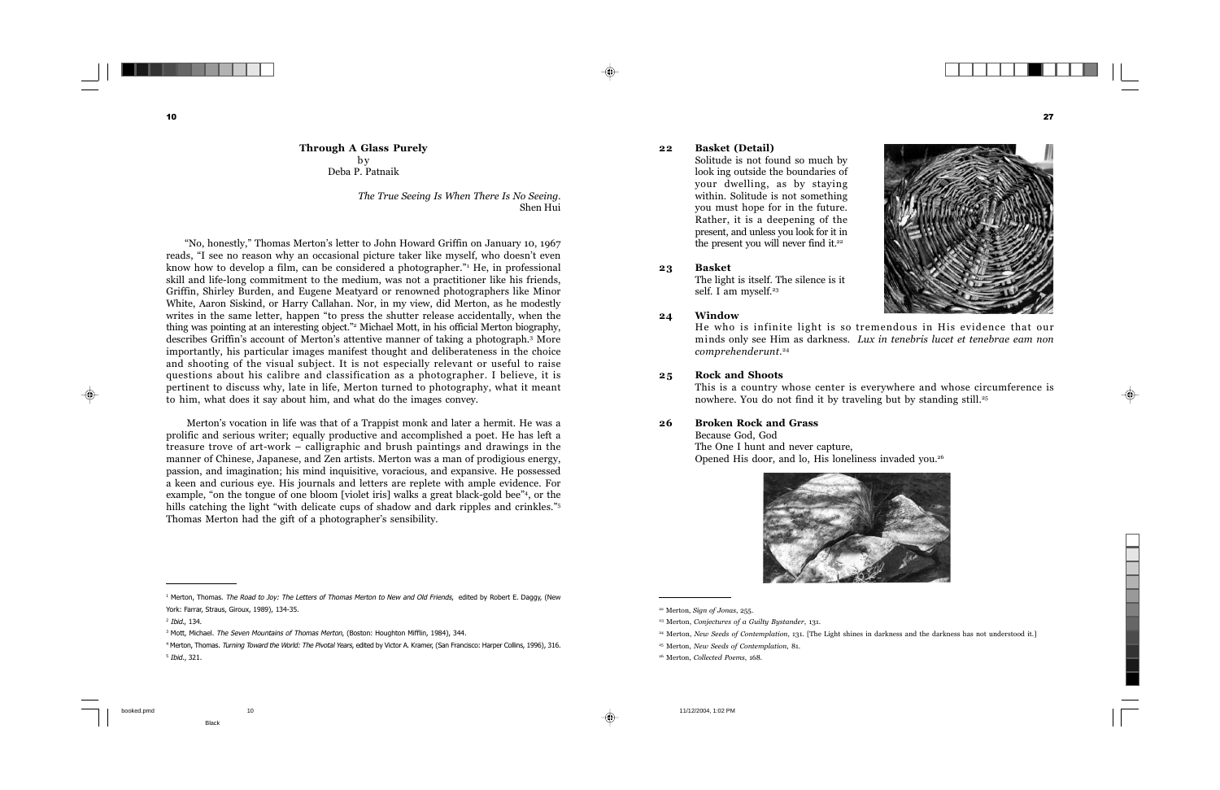b y

Deba P. Patnaik

*The True Seeing Is When There Is No Seeing.* Shen Hui

 "No, honestly," Thomas Merton's letter to John Howard Griffin on January 10, 1967 reads, "I see no reason why an occasional picture taker like myself, who doesn't even know how to develop a film, can be considered a photographer."1 He, in professional skill and life-long commitment to the medium, was not a practitioner like his friends, Griffin, Shirley Burden, and Eugene Meatyard or renowned photographers like Minor White, Aaron Siskind, or Harry Callahan. Nor, in my view, did Merton, as he modestly writes in the same letter, happen "to press the shutter release accidentally, when the thing was pointing at an interesting object."2 Michael Mott, in his official Merton biography, describes Griffin's account of Merton's attentive manner of taking a photograph.3 More importantly, his particular images manifest thought and deliberateness in the choice and shooting of the visual subject. It is not especially relevant or useful to raise questions about his calibre and classification as a photographer. I believe, it is pertinent to discuss why, late in life, Merton turned to photography, what it meant to him, what does it say about him, and what do the images convey.

 Merton's vocation in life was that of a Trappist monk and later a hermit. He was a prolific and serious writer; equally productive and accomplished a poet. He has left a treasure trove of art-work – calligraphic and brush paintings and drawings in the manner of Chinese, Japanese, and Zen artists. Merton was a man of prodigious energy, passion, and imagination; his mind inquisitive, voracious, and expansive. He possessed a keen and curious eye. His journals and letters are replete with ample evidence. For example, "on the tongue of one bloom [violet iris] walks a great black-gold bee"<sup>4</sup>, or the hills catching the light "with delicate cups of shadow and dark ripples and crinkles."<sup>5</sup> Thomas Merton had the gift of a photographer's sensibility.

<sup>&</sup>lt;sup>1</sup> Merton, Thomas. The Road to Joy: The Letters of Thomas Merton to New and Old Friends, edited by Robert E. Daggy, (New York: Farrar, Straus, Giroux, 1989), 134-35.

<sup>2</sup> Ibid., 134.

<sup>&</sup>lt;sup>3</sup> Mott, Michael. The Seven Mountains of Thomas Merton, (Boston: Houghton Mifflin, 1984), 344.

<sup>4</sup> Merton, Thomas. Turning Toward the World: The Pivotal Years, edited by Victor A. Kramer, (San Francisco: Harper Collins, 1996), 316. 5 Ibid., 321.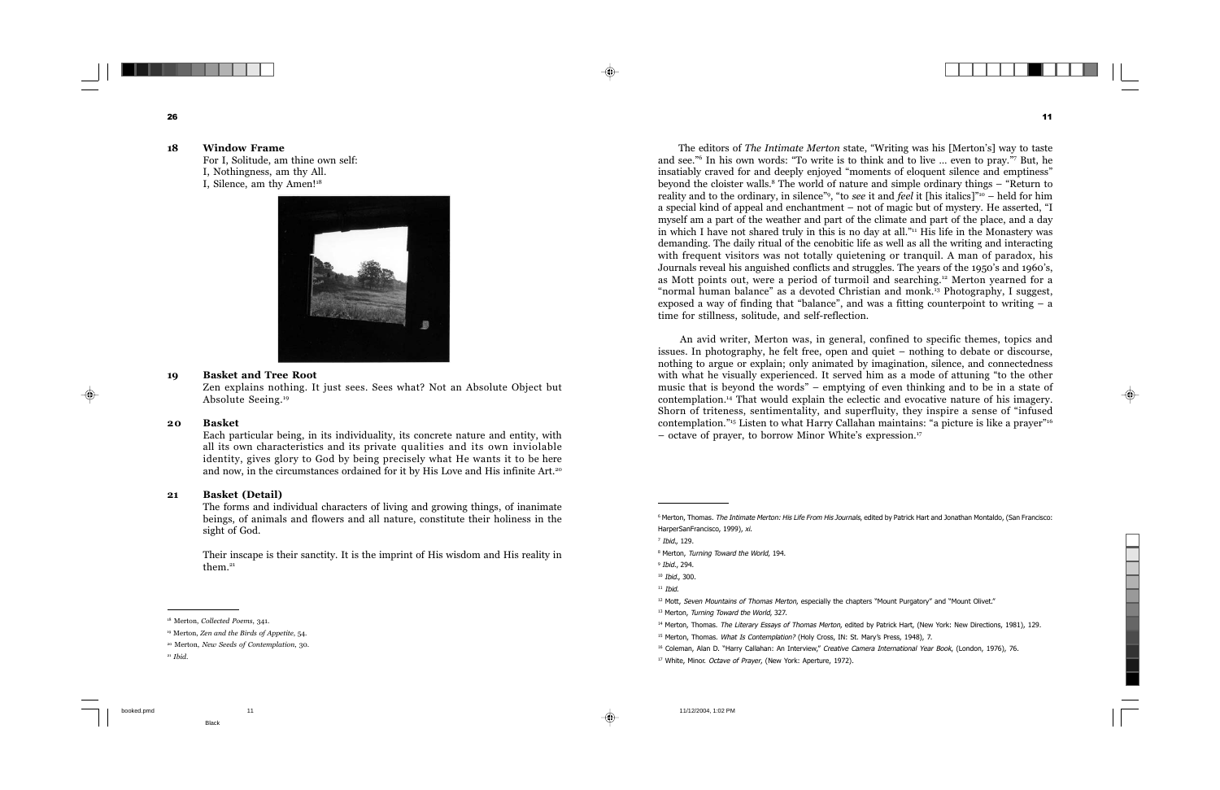The editors of *The Intimate Merton* state, "Writing was his [Merton's] way to taste and see."6 In his own words: "To write is to think and to live … even to pray."7 But, he insatiably craved for and deeply enjoyed "moments of eloquent silence and emptiness" beyond the cloister walls.8 The world of nature and simple ordinary things – "Return to reality and to the ordinary, in silence"9, "to *see* it and *feel* it [his italics]"10 – held for him a special kind of appeal and enchantment – not of magic but of mystery. He asserted, "I myself am a part of the weather and part of the climate and part of the place, and a day in which I have not shared truly in this is no day at all." $\mu$  His life in the Monastery was demanding. The daily ritual of the cenobitic life as well as all the writing and interacting with frequent visitors was not totally quietening or tranquil. A man of paradox, his Journals reveal his anguished conflicts and struggles. The years of the 1950's and 1960's, as Mott points out, were a period of turmoil and searching.12 Merton yearned for a "normal human balance" as a devoted Christian and monk.13 Photography, I suggest, exposed a way of finding that "balance", and was a fitting counterpoint to writing  $- a$ time for stillness, solitude, and self-reflection.

 An avid writer, Merton was, in general, confined to specific themes, topics and issues. In photography, he felt free, open and quiet – nothing to debate or discourse, nothing to argue or explain; only animated by imagination, silence, and connectedness with what he visually experienced. It served him as a mode of attuning "to the other music that is beyond the words" – emptying of even thinking and to be in a state of contemplation.14 That would explain the eclectic and evocative nature of his imagery. Shorn of triteness, sentimentality, and superfluity, they inspire a sense of "infused contemplation."15 Listen to what Harry Callahan maintains: "a picture is like a prayer"16 – octave of prayer, to borrow Minor White's expression.17

<sup>&</sup>lt;sup>6</sup> Merton, Thomas. The Intimate Merton: His Life From His Journals, edited by Patrick Hart and Jonathan Montaldo, (San Francisco: HarperSanFrancisco, 1999), xi.

<sup>7</sup> Ibid., 129.

<sup>&</sup>lt;sup>8</sup> Merton, Turning Toward the World, 194.

<sup>9</sup> Ibid., 294.

<sup>10</sup> Ibid., 300.

 $11$  *Ihid*.

 $12$  Mott, Seven Mountains of Thomas Merton, especially the chapters "Mount Purgatory" and "Mount Olivet."

<sup>&</sup>lt;sup>13</sup> Merton, Turning Toward the World, 327.

<sup>14</sup> Merton, Thomas. The Literary Essays of Thomas Merton, edited by Patrick Hart, (New York: New Directions, 1981), 129.

<sup>&</sup>lt;sup>15</sup> Merton, Thomas. What Is Contemplation? (Holy Cross, IN: St. Mary's Press, 1948), 7.

<sup>&</sup>lt;sup>16</sup> Coleman, Alan D. "Harry Callahan: An Interview," Creative Camera International Year Book, (London, 1976), 76.

<sup>&</sup>lt;sup>17</sup> White, Minor. Octave of Prayer, (New York: Aperture, 1972).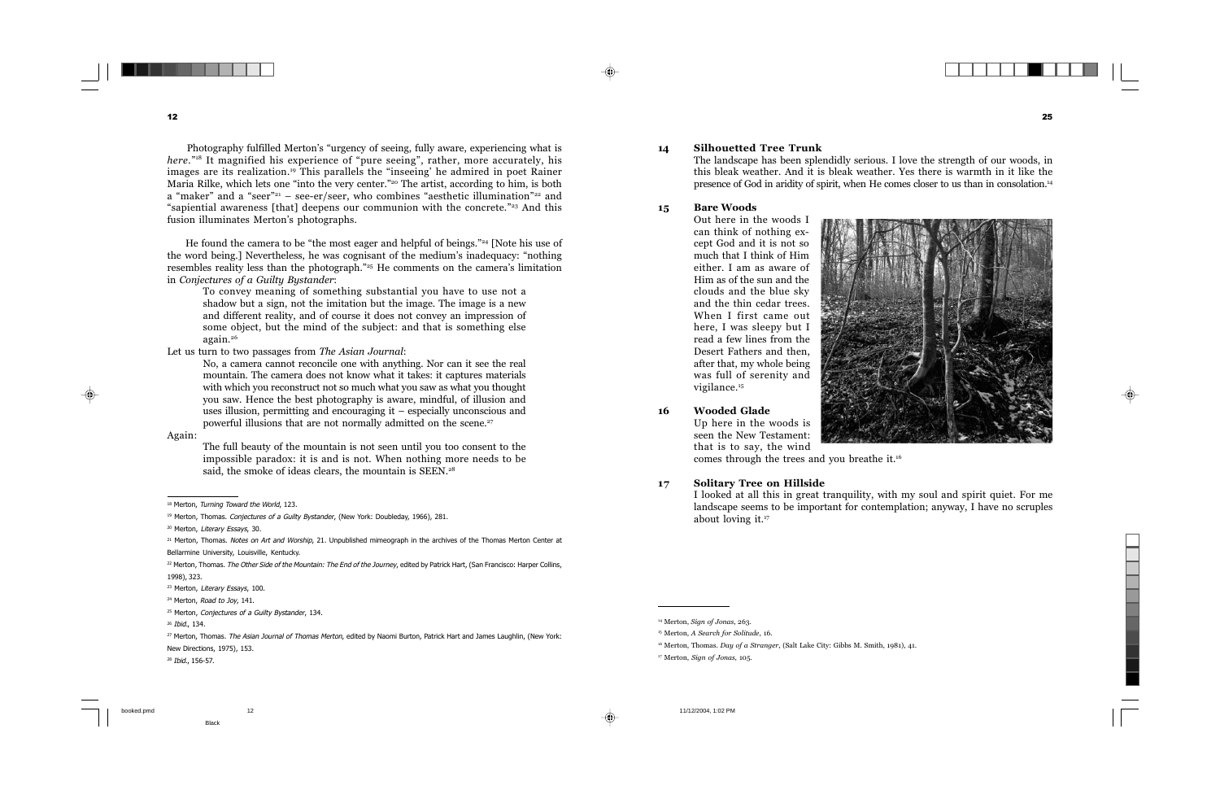Photography fulfilled Merton's "urgency of seeing, fully aware, experiencing what is *here.*"<sup>18</sup> It magnified his experience of "pure seeing", rather, more accurately, his images are its realization.19 This parallels the "inseeing' he admired in poet Rainer Maria Rilke, which lets one "into the very center."20 The artist, according to him, is both a "maker" and a "seer"<sup>21</sup> – see-er/seer, who combines "aesthetic illumination"<sup>22</sup> and "sapiential awareness [that] deepens our communion with the concrete."23 And this fusion illuminates Merton's photographs.

 He found the camera to be "the most eager and helpful of beings."24 [Note his use of the word being.] Nevertheless, he was cognisant of the medium's inadequacy: "nothing resembles reality less than the photograph."25 He comments on the camera's limitation in *Conjectures of a Guilty Bystander*:

To convey meaning of something substantial you have to use not a shadow but a sign, not the imitation but the image. The image is a new and different reality, and of course it does not convey an impression of some object, but the mind of the subject: and that is something else again.26

Let us turn to two passages from *The Asian Journal*:

No, a camera cannot reconcile one with anything. Nor can it see the real mountain. The camera does not know what it takes: it captures materials with which you reconstruct not so much what you saw as what you thought you saw. Hence the best photography is aware, mindful, of illusion and uses illusion, permitting and encouraging it – especially unconscious and powerful illusions that are not normally admitted on the scene.27

Again:

The full beauty of the mountain is not seen until you too consent to the impossible paradox: it is and is not. When nothing more needs to be said, the smoke of ideas clears, the mountain is SEEN.<sup>28</sup>

<sup>&</sup>lt;sup>18</sup> Merton, Turning Toward the World, 123.

<sup>&</sup>lt;sup>19</sup> Merton, Thomas. Conjectures of a Guilty Bystander, (New York: Doubleday, 1966), 281.

<sup>&</sup>lt;sup>20</sup> Merton, Literary Essays, 30.

<sup>&</sup>lt;sup>21</sup> Merton, Thomas. Notes on Art and Worship, 21. Unpublished mimeograph in the archives of the Thomas Merton Center at Bellarmine University, Louisville, Kentucky.

 $^{22}$  Merton, Thomas. The Other Side of the Mountain: The End of the Journey, edited by Patrick Hart, (San Francisco: Harper Collins, 1998), 323.

<sup>&</sup>lt;sup>23</sup> Merton, Literary Essays, 100.

<sup>&</sup>lt;sup>24</sup> Merton, Road to Joy, 141.

<sup>&</sup>lt;sup>25</sup> Merton, Conjectures of a Guilty Bystander, 134.

<sup>26</sup> Ibid., 134.

<sup>&</sup>lt;sup>27</sup> Merton, Thomas. The Asian Journal of Thomas Merton, edited by Naomi Burton, Patrick Hart and James Laughlin, (New York: New Directions, 1975), 153.

<sup>28</sup> Ibid., 156-57.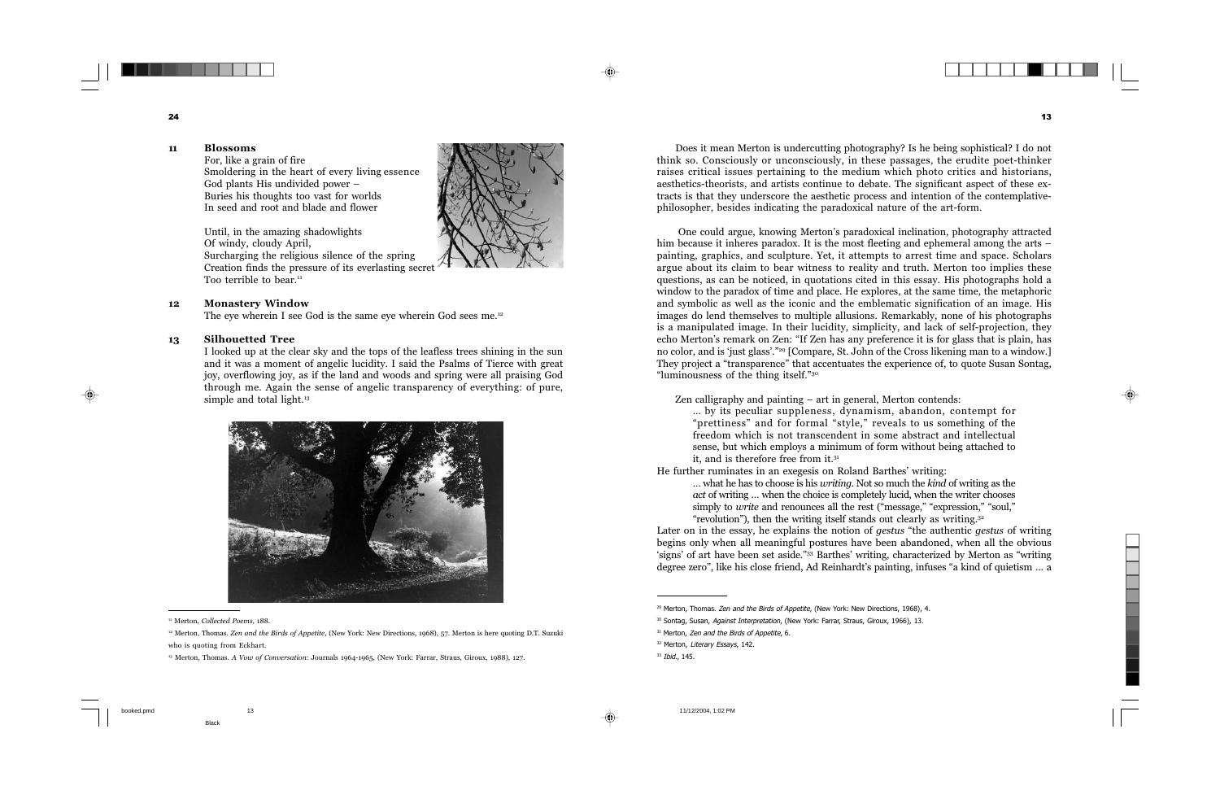Does it mean Merton is undercutting photography? Is he being sophistical? I do not think so. Consciously or unconsciously, in these passages, the erudite poet-thinker raises critical issues pertaining to the medium which photo critics and historians, aesthetics-theorists, and artists continue to debate. The significant aspect of these extracts is that they underscore the aesthetic process and intention of the contemplativephilosopher, besides indicating the paradoxical nature of the art-form.

 One could argue, knowing Merton's paradoxical inclination, photography attracted him because it inheres paradox. It is the most fleeting and ephemeral among the arts – painting, graphics, and sculpture. Yet, it attempts to arrest time and space. Scholars argue about its claim to bear witness to reality and truth. Merton too implies these questions, as can be noticed, in quotations cited in this essay. His photographs hold a window to the paradox of time and place. He explores, at the same time, the metaphoric and symbolic as well as the iconic and the emblematic signification of an image. His images do lend themselves to multiple allusions. Remarkably, none of his photographs is a manipulated image. In their lucidity, simplicity, and lack of self-projection, they echo Merton's remark on Zen: "If Zen has any preference it is for glass that is plain, has no color, and is 'just glass'."<sup>29</sup> [Compare, St. John of the Cross likening man to a window.] They project a "transparence" that accentuates the experience of, to quote Susan Sontag, "luminousness of the thing itself."30

Zen calligraphy and painting – art in general, Merton contends:

… by its peculiar suppleness, dynamism, abandon, contempt for "prettiness" and for formal "style," reveals to us something of the freedom which is not transcendent in some abstract and intellectual sense, but which employs a minimum of form without being attached to it, and is therefore free from it.31

He further ruminates in an exegesis on Roland Barthes' writing:

… what he has to choose is his *writing*. Not so much the *kind* of writing as the *act* of writing … when the choice is completely lucid, when the writer chooses simply to *write* and renounces all the rest ("message," "expression," "soul," "revolution"), then the writing itself stands out clearly as writing.<sup>32</sup>

Later on in the essay, he explains the notion of *gestus* "the authentic *gestus* of writing begins only when all meaningful postures have been abandoned, when all the obvious 'signs' of art have been set aside."33 Barthes' writing, characterized by Merton as "writing degree zero", like his close friend, Ad Reinhardt's painting, infuses "a kind of quietism … a

<sup>33</sup> Ibid., 145.

<sup>&</sup>lt;sup>29</sup> Merton, Thomas. Zen and the Birds of Appetite, (New York: New Directions, 1968), 4.

<sup>&</sup>lt;sup>30</sup> Sontag, Susan, Against Interpretation, (New York: Farrar, Straus, Giroux, 1966), 13.

<sup>&</sup>lt;sup>31</sup> Merton, Zen and the Birds of Appetite, 6.

<sup>&</sup>lt;sup>32</sup> Merton, Literary Essays, 142.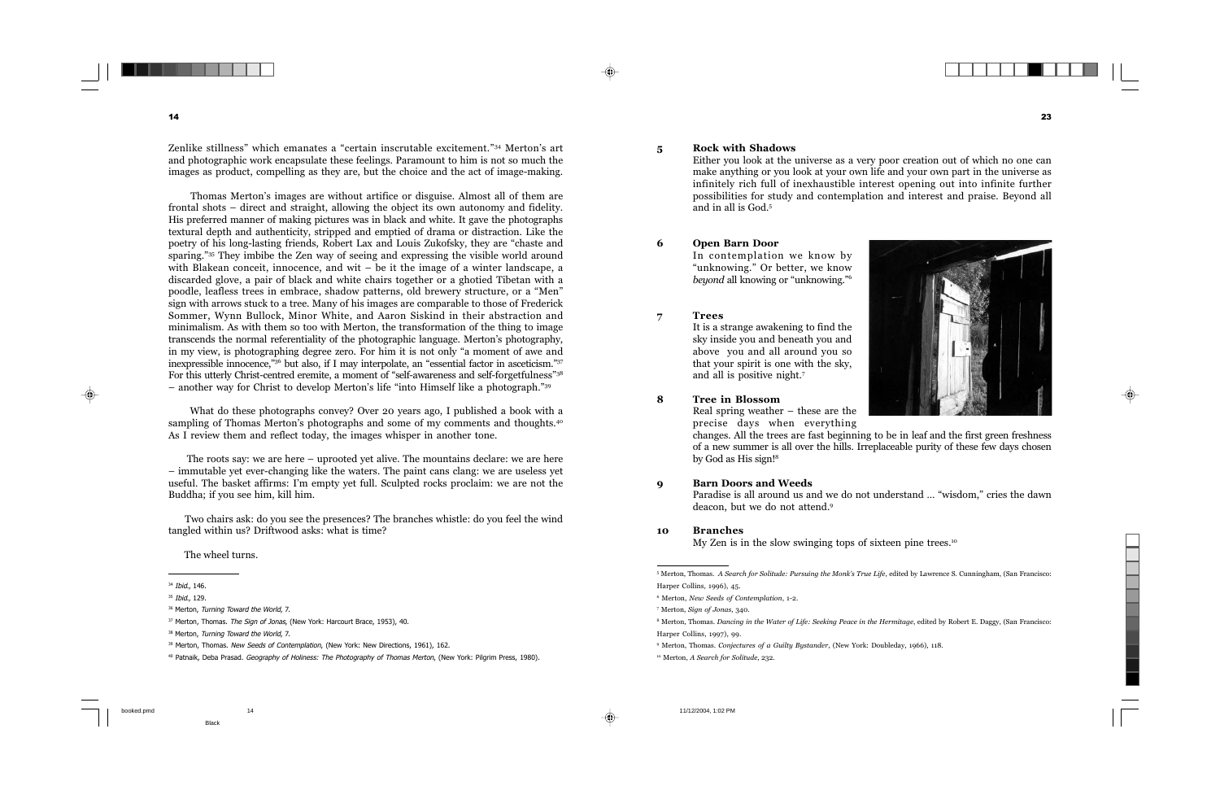Zenlike stillness" which emanates a "certain inscrutable excitement."34 Merton's art and photographic work encapsulate these feelings. Paramount to him is not so much the images as product, compelling as they are, but the choice and the act of image-making.

 Thomas Merton's images are without artifice or disguise. Almost all of them are frontal shots – direct and straight, allowing the object its own autonomy and fidelity. His preferred manner of making pictures was in black and white. It gave the photographs textural depth and authenticity, stripped and emptied of drama or distraction. Like the poetry of his long-lasting friends, Robert Lax and Louis Zukofsky, they are "chaste and sparing."35 They imbibe the Zen way of seeing and expressing the visible world around with Blakean conceit, innocence, and wit – be it the image of a winter landscape, a discarded glove, a pair of black and white chairs together or a ghotied Tibetan with a poodle, leafless trees in embrace, shadow patterns, old brewery structure, or a "Men" sign with arrows stuck to a tree. Many of his images are comparable to those of Frederick Sommer, Wynn Bullock, Minor White, and Aaron Siskind in their abstraction and minimalism. As with them so too with Merton, the transformation of the thing to image transcends the normal referentiality of the photographic language. Merton's photography, in my view, is photographing degree zero. For him it is not only "a moment of awe and inexpressible innocence,"36 but also, if I may interpolate, an "essential factor in asceticism."37 For this utterly Christ-centred eremite, a moment of "self-awareness and self-forgetfulness"38 – another way for Christ to develop Merton's life "into Himself like a photograph."39

 What do these photographs convey? Over 20 years ago, I published a book with a sampling of Thomas Merton's photographs and some of my comments and thoughts.<sup>40</sup> As I review them and reflect today, the images whisper in another tone.

 The roots say: we are here – uprooted yet alive. The mountains declare: we are here – immutable yet ever-changing like the waters. The paint cans clang: we are useless yet useful. The basket affirms: I'm empty yet full. Sculpted rocks proclaim: we are not the Buddha; if you see him, kill him.

 Two chairs ask: do you see the presences? The branches whistle: do you feel the wind tangled within us? Driftwood asks: what is time?

The wheel turns.

<sup>34</sup> Ibid., 146.

<sup>35</sup> Ibid., 129.

<sup>&</sup>lt;sup>36</sup> Merton, Turning Toward the World, 7.

<sup>&</sup>lt;sup>37</sup> Merton, Thomas. The Sign of Jonas, (New York: Harcourt Brace, 1953), 40.

<sup>38</sup> Merton, Turning Toward the World, 7.

<sup>&</sup>lt;sup>39</sup> Merton, Thomas. New Seeds of Contemplation, (New York: New Directions, 1961), 162.

<sup>&</sup>lt;sup>40</sup> Patnaik, Deba Prasad. Geography of Holiness: The Photography of Thomas Merton, (New York: Pilgrim Press, 1980).